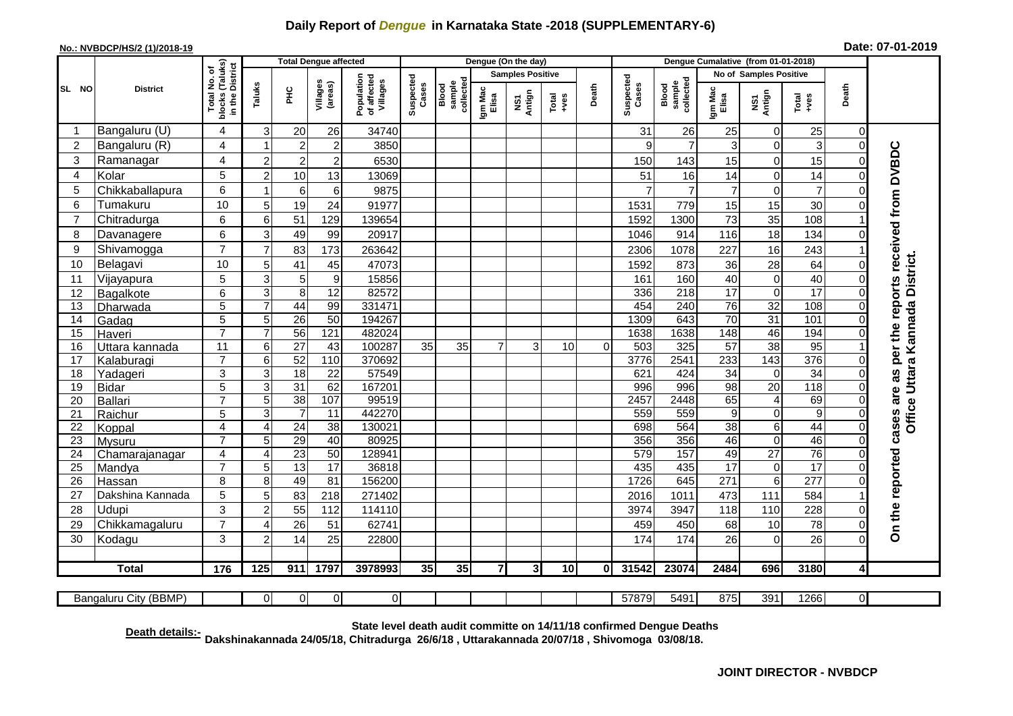## **Daily Report of** *Dengue* **in Karnataka State -2018 (SUPPLEMENTARY-6)**

## **No.: NVBDCP/HS/2 (1)/2018-19**

| Date: 07-01-2019 |  |  |  |
|------------------|--|--|--|
|------------------|--|--|--|

|                 |                       |                                                    |                     |                                   | <b>Total Dengue affected</b> |                                       |                    |                              |                         | Dengue (On the day) |               |          |                        |                              | Dengue Cumalative (from 01-01-2018) |                      |                      |                      |                                                  |
|-----------------|-----------------------|----------------------------------------------------|---------------------|-----------------------------------|------------------------------|---------------------------------------|--------------------|------------------------------|-------------------------|---------------------|---------------|----------|------------------------|------------------------------|-------------------------------------|----------------------|----------------------|----------------------|--------------------------------------------------|
|                 |                       |                                                    |                     |                                   |                              |                                       |                    |                              | <b>Samples Positive</b> |                     |               |          | No of Samples Positive |                              |                                     |                      |                      |                      |                                                  |
| SL NO           | <b>District</b>       | Total No. of<br>blocks (Taluks)<br>in the District | Taluks              | 오<br>도                            | Villages<br>(areas)          | Population<br>of affected<br>Villages | Suspected<br>Cases | collected<br>sample<br>Blood | Igm Mac<br>Elisa        | Antign<br>Σń        | Total<br>+ves | Death    | Suspected<br>Cases     | collected<br>sample<br>Blood | Igm Mac<br>Elisa                    | NS1<br>Antign        | Total<br>$+ves$      | Death                |                                                  |
| -1              | Bangaluru (U)         | 4                                                  | 3                   | 20                                | 26                           | 34740                                 |                    |                              |                         |                     |               |          | 31                     | 26                           | 25                                  | 0                    | 25                   | $\Omega$             |                                                  |
| $\overline{2}$  | Bangaluru (R)         | 4                                                  |                     | $\overline{2}$                    | $\overline{c}$               | 3850                                  |                    |                              |                         |                     |               |          | 9                      | $\overline{7}$               | 3                                   | $\overline{0}$       | 3                    | $\Omega$             |                                                  |
| 3               | Ramanagar             | $\overline{\mathbf{4}}$                            | $\overline{c}$      | $\overline{c}$                    | $\overline{2}$               | 6530                                  |                    |                              |                         |                     |               |          | 150                    | 143                          | 15                                  | $\mathbf 0$          | 15                   | $\Omega$             | cases are as per the reports received from DVBDC |
| 4               | Kolar                 | 5                                                  | $\overline{2}$      | 10                                | 13                           | 13069                                 |                    |                              |                         |                     |               |          | 51                     | 16                           | 14                                  | $\mathbf 0$          | 14                   | <sup>0</sup>         |                                                  |
| 5               | Chikkaballapura       | 6                                                  | 1                   | 6                                 | 6                            | 9875                                  |                    |                              |                         |                     |               |          | 7                      | $\overline{7}$               | $\overline{7}$                      | $\overline{0}$       | $\overline{7}$       |                      |                                                  |
| 6               | Tumakuru              | 10                                                 | 5                   | 19                                | 24                           | 91977                                 |                    |                              |                         |                     |               |          | 1531                   | 779                          | 15                                  | 15                   | 30                   |                      |                                                  |
| $\overline{7}$  | Chitradurga           | 6                                                  | 6                   | 51                                | 129                          | 139654                                |                    |                              |                         |                     |               |          | 1592                   | 1300                         | 73                                  | 35                   | 108                  |                      |                                                  |
| 8               | Davanagere            | 6                                                  | 3 <sup>1</sup>      | 49                                | 99                           | 20917                                 |                    |                              |                         |                     |               |          | 1046                   | 914                          | 116                                 | 18                   | 134                  |                      |                                                  |
| 9               | Shivamogga            | $\overline{7}$                                     | $\overline{7}$      | 83                                | 173                          | 263642                                |                    |                              |                         |                     |               |          | 2306                   | 1078                         | 227                                 | 16                   | 243                  |                      |                                                  |
| 10              | Belagavi              | 10                                                 | 5                   | 41                                | 45                           | 47073                                 |                    |                              |                         |                     |               |          | 1592                   | 873                          | 36                                  | 28                   | 64                   |                      | Office Uttara Kannada District.                  |
| 11              | Vijayapura            | 5                                                  | 3                   | 5                                 | $\boldsymbol{9}$             | 15856                                 |                    |                              |                         |                     |               |          | 161                    | 160                          | 40                                  | $\mathbf 0$          | 40                   | 0                    |                                                  |
| 12              | Bagalkote             | 6                                                  | 3                   | 8                                 | 12                           | 82572                                 |                    |                              |                         |                     |               |          | 336                    | 218                          | $\overline{17}$                     | $\mathbf 0$          | $\overline{17}$      | $\Omega$             |                                                  |
| 13              | Dharwada              | 5                                                  |                     | $\overline{44}$                   | 99                           | 331471                                |                    |                              |                         |                     |               |          | 454                    | 240                          | 76                                  | 32                   | 108                  | $\Omega$             |                                                  |
| $\overline{14}$ | Gadag                 | $\overline{5}$                                     | 5                   | 26                                | 50                           | 194267                                |                    |                              |                         |                     |               |          | 1309                   | 643                          | $\overline{70}$                     | 31                   | 101                  | $\Omega$             |                                                  |
| $\overline{15}$ | Haveri                | $\overline{7}$                                     | $\overline{7}$      | 56                                | 121                          | 482024                                |                    |                              |                         |                     |               |          | 1638                   | 1638                         | 148                                 | 46                   | 194                  |                      |                                                  |
| 16              | Uttara kannada        | $\overline{11}$                                    | 6                   | $\overline{27}$                   | 43                           | 100287                                | 35                 | 35                           | $\overline{7}$          | 3                   | 10            | $\Omega$ | 503                    | 325                          | $\overline{57}$                     | $\overline{38}$      | 95                   |                      |                                                  |
| 17              | Kalaburagi            | $\overline{7}$                                     | 6                   | 52                                | 110                          | 370692                                |                    |                              |                         |                     |               |          | 3776                   | 2541                         | 233                                 | 143                  | 376                  |                      |                                                  |
| 18              | Yadageri              | 3                                                  | 3                   | 18                                | $\overline{22}$              | 57549                                 |                    |                              |                         |                     |               |          | 621                    | 424                          | $\overline{34}$                     | $\mathbf 0$          | 34                   |                      |                                                  |
| $\overline{19}$ | <b>Bidar</b>          | $\overline{5}$                                     | 3                   | $\overline{31}$                   | 62                           | 167201                                |                    |                              |                         |                     |               |          | 996                    | 996                          | $\overline{98}$                     | $\overline{20}$      | 118                  |                      |                                                  |
| 20              | <b>Ballari</b>        | $\overline{7}$                                     | 5                   | $\overline{38}$                   | 107                          | 99519                                 |                    |                              |                         |                     |               |          | 2457                   | 2448                         | 65                                  | $\overline{4}$       | 69                   | $\Omega$             |                                                  |
| 21<br>22        | Raichur               | $\overline{5}$<br>$\overline{4}$                   | 3<br>$\overline{A}$ | $\overline{7}$<br>$\overline{24}$ | 11<br>$\overline{38}$        | 442270<br>130021                      |                    |                              |                         |                     |               |          | 559<br>698             | 559<br>564                   | 9<br>38                             | $\mathbf 0$<br>$\,6$ | $\overline{9}$<br>44 | $\Omega$<br>$\Omega$ |                                                  |
| 23              | Koppal<br>Mysuru      | $\overline{7}$                                     | 5                   | 29                                | 40                           | 80925                                 |                    |                              |                         |                     |               |          | 356                    | 356                          | 46                                  | $\mathbf 0$          | 46                   | $\Omega$             |                                                  |
| 24              | Chamarajanagar        | 4                                                  | 4                   | $\overline{23}$                   | 50                           | 128941                                |                    |                              |                         |                     |               |          | 579                    | 157                          | 49                                  | $\overline{27}$      | $\overline{76}$      | $\Omega$             |                                                  |
| 25              | Mandya                | $\overline{7}$                                     | 5                   | 13                                | $\overline{17}$              | 36818                                 |                    |                              |                         |                     |               |          | 435                    | 435                          | 17                                  | $\mathbf 0$          | 17                   | $\Omega$             |                                                  |
| 26              | Hassan                | $\overline{8}$                                     | 8                   | 49                                | 81                           | 156200                                |                    |                              |                         |                     |               |          | 1726                   | 645                          | 271                                 | $\overline{6}$       | 277                  | $\Omega$             |                                                  |
| 27              | Dakshina Kannada      | 5                                                  | 5                   | 83                                | 218                          | 271402                                |                    |                              |                         |                     |               |          | 2016                   | 1011                         | 473                                 | 111                  | 584                  |                      |                                                  |
| 28              | Udupi                 | 3                                                  | 2                   | 55                                | 112                          | 114110                                |                    |                              |                         |                     |               |          | 3974                   | 3947                         | 118                                 | 110                  | 228                  |                      |                                                  |
| 29              | Chikkamagaluru        | $\overline{7}$                                     |                     | 26                                | 51                           | 62741                                 |                    |                              |                         |                     |               |          | 459                    | 450                          | 68                                  | 10                   | 78                   | $\Omega$             | On the reported                                  |
| 30              | Kodagu                | 3                                                  | $\overline{2}$      | 14                                | 25                           | 22800                                 |                    |                              |                         |                     |               |          | 174                    | 174                          | 26                                  | $\mathbf 0$          | 26                   | $\Omega$             |                                                  |
|                 |                       |                                                    |                     |                                   |                              |                                       |                    |                              |                         |                     |               |          |                        |                              |                                     |                      |                      |                      |                                                  |
|                 | <b>Total</b>          | 176                                                | 125                 | 911                               | 1797                         | 3978993                               | 35                 | 35                           | $\overline{7}$          | 3 <sup>1</sup>      | 10            | $\bf{0}$ | 31542                  | 23074                        | 2484                                | 696                  | 3180                 | $\overline{4}$       |                                                  |
|                 |                       |                                                    |                     |                                   |                              |                                       |                    |                              |                         |                     |               |          |                        |                              |                                     |                      |                      |                      |                                                  |
|                 | Bangaluru City (BBMP) |                                                    | 0                   | $\Omega$                          | $\overline{0}$               | $\overline{0}$                        |                    |                              |                         |                     |               |          | 57879                  | 5491                         | 875                                 | 391                  | 1266                 | $\overline{0}$       |                                                  |

**Death details:- State level death audit committe on 14/11/18 confirmed Dengue Deaths Dakshinakannada 24/05/18, Chitradurga 26/6/18 , Uttarakannada 20/07/18 , Shivomoga 03/08/18.**